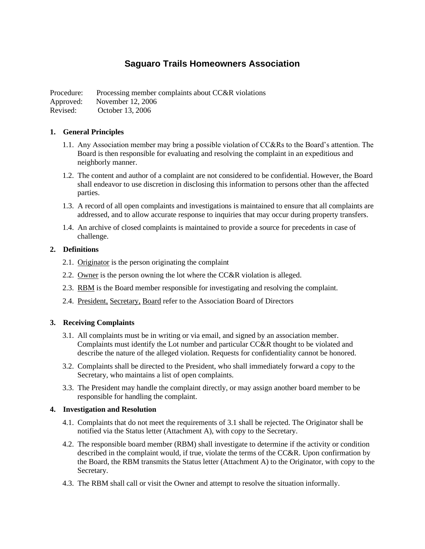# **Saguaro Trails Homeowners Association**

Procedure: Processing member complaints about CC&R violations

Approved: November 12, 2006

Revised: October 13, 2006

### **1. General Principles**

- 1.1. Any Association member may bring a possible violation of CC&Rs to the Board's attention. The Board is then responsible for evaluating and resolving the complaint in an expeditious and neighborly manner.
- 1.2. The content and author of a complaint are not considered to be confidential. However, the Board shall endeavor to use discretion in disclosing this information to persons other than the affected parties.
- 1.3. A record of all open complaints and investigations is maintained to ensure that all complaints are addressed, and to allow accurate response to inquiries that may occur during property transfers.
- 1.4. An archive of closed complaints is maintained to provide a source for precedents in case of challenge.

### **2. Definitions**

- 2.1. Originator is the person originating the complaint
- 2.2. Owner is the person owning the lot where the CC&R violation is alleged.
- 2.3. RBM is the Board member responsible for investigating and resolving the complaint.
- 2.4. President, Secretary, Board refer to the Association Board of Directors

## **3. Receiving Complaints**

- 3.1. All complaints must be in writing or via email, and signed by an association member. Complaints must identify the Lot number and particular CC&R thought to be violated and describe the nature of the alleged violation. Requests for confidentiality cannot be honored.
- 3.2. Complaints shall be directed to the President, who shall immediately forward a copy to the Secretary, who maintains a list of open complaints.
- 3.3. The President may handle the complaint directly, or may assign another board member to be responsible for handling the complaint.

#### **4. Investigation and Resolution**

- 4.1. Complaints that do not meet the requirements of 3.1 shall be rejected. The Originator shall be notified via the Status letter (Attachment A), with copy to the Secretary.
- 4.2. The responsible board member (RBM) shall investigate to determine if the activity or condition described in the complaint would, if true, violate the terms of the CC&R. Upon confirmation by the Board, the RBM transmits the Status letter (Attachment A) to the Originator, with copy to the Secretary.
- 4.3. The RBM shall call or visit the Owner and attempt to resolve the situation informally.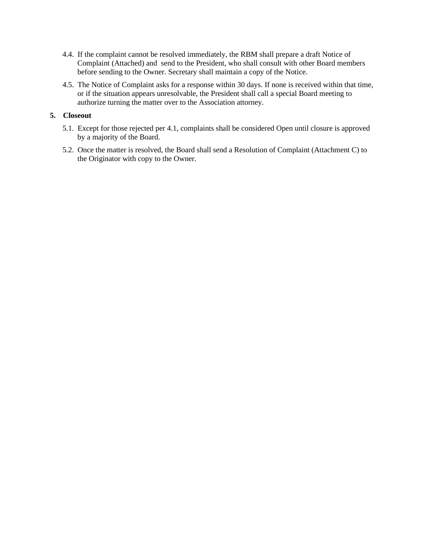- 4.4. If the complaint cannot be resolved immediately, the RBM shall prepare a draft Notice of Complaint (Attached) and send to the President, who shall consult with other Board members before sending to the Owner. Secretary shall maintain a copy of the Notice.
- 4.5. The Notice of Complaint asks for a response within 30 days. If none is received within that time, or if the situation appears unresolvable, the President shall call a special Board meeting to authorize turning the matter over to the Association attorney.

#### **5. Closeout**

- 5.1. Except for those rejected per 4.1, complaints shall be considered Open until closure is approved by a majority of the Board.
- 5.2. Once the matter is resolved, the Board shall send a Resolution of Complaint (Attachment C) to the Originator with copy to the Owner.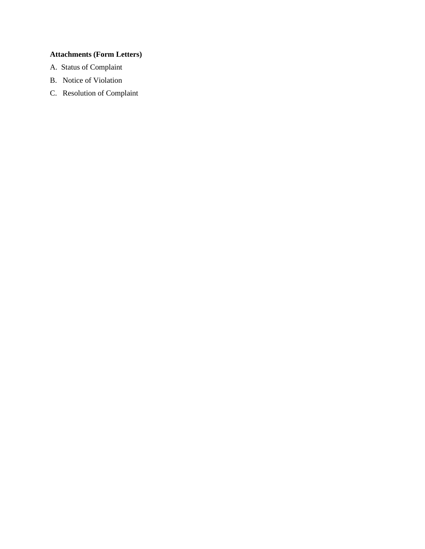# **Attachments (Form Letters)**

- A. Status of Complaint
- B. Notice of Violation
- C. Resolution of Complaint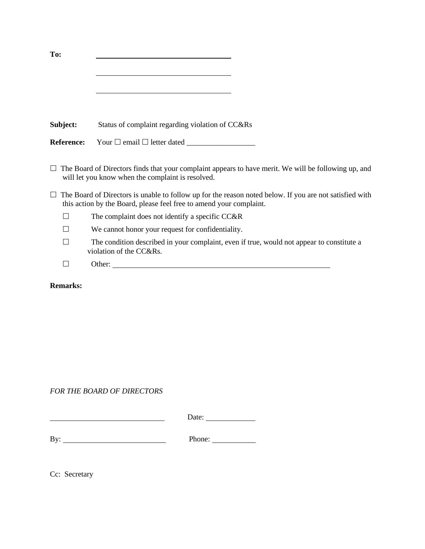| To:               |                                                                                                                                                                                |
|-------------------|--------------------------------------------------------------------------------------------------------------------------------------------------------------------------------|
|                   | <u> 1989 - Johann Barbara, martxa alemaniar amerikan a</u>                                                                                                                     |
|                   |                                                                                                                                                                                |
|                   |                                                                                                                                                                                |
|                   |                                                                                                                                                                                |
| Subject:          | Status of complaint regarding violation of CC&Rs                                                                                                                               |
| <b>Reference:</b> |                                                                                                                                                                                |
|                   |                                                                                                                                                                                |
|                   | The Board of Directors finds that your complaint appears to have merit. We will be following up, and<br>will let you know when the complaint is resolved.                      |
|                   | The Board of Directors is unable to follow up for the reason noted below. If you are not satisfied with<br>this action by the Board, please feel free to amend your complaint. |
|                   | The complaint does not identify a specific CC&R                                                                                                                                |
|                   | We cannot honor your request for confidentiality.                                                                                                                              |
|                   | The condition described in your complaint, even if true, would not appear to constitute a<br>violation of the CC&Rs.                                                           |
| ×.                |                                                                                                                                                                                |
| <b>Remarks:</b>   |                                                                                                                                                                                |

*FOR THE BOARD OF DIRECTORS*

 Date: By: <u>Phone:</u> Phone: Phone: Phone: Phone: Phone: Phone: Phone: Phone: Phone: Phone: Phone: Phone: Phone: Phone: Phone: Phone: Phone: Phone: Phone: Phone: Phone: Phone: Phone: Phone: Phone: Phone: Phone: Phone: Phone: Phone:

Cc: Secretary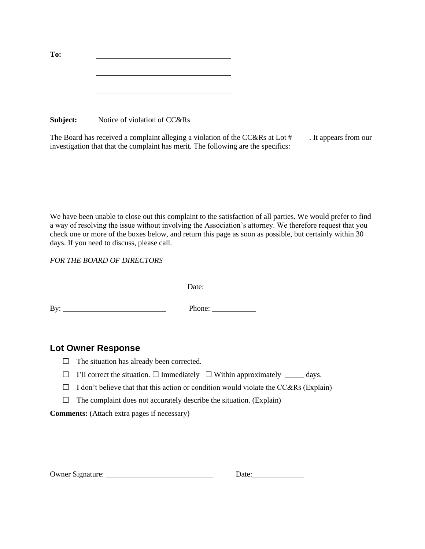| To: |  |
|-----|--|
|     |  |
|     |  |
|     |  |
|     |  |

**Subject:** Notice of violation of CC&Rs

The Board has received a complaint alleging a violation of the CC&Rs at Lot  $\#$  . It appears from our investigation that that the complaint has merit. The following are the specifics:

We have been unable to close out this complaint to the satisfaction of all parties. We would prefer to find a way of resolving the issue without involving the Association's attorney. We therefore request that you check one or more of the boxes below, and return this page as soon as possible, but certainly within 30 days. If you need to discuss, please call.

*FOR THE BOARD OF DIRECTORS*

|     | Date:<br>the control of the control of |
|-----|----------------------------------------|
| By: | Phone: $\qquad \qquad$                 |

# **Lot Owner Response**

- $\Box$  The situation has already been corrected.
- $\Box$  I'll correct the situation.  $\Box$  Immediately  $\Box$  Within approximately  $\Box$  days.
- $\Box$  I don't believe that that this action or condition would violate the CC&Rs (Explain)
- $\Box$  The complaint does not accurately describe the situation. (Explain)

**Comments:** (Attach extra pages if necessary)

| <b>Owner Signature:</b> | Date: |
|-------------------------|-------|
|-------------------------|-------|